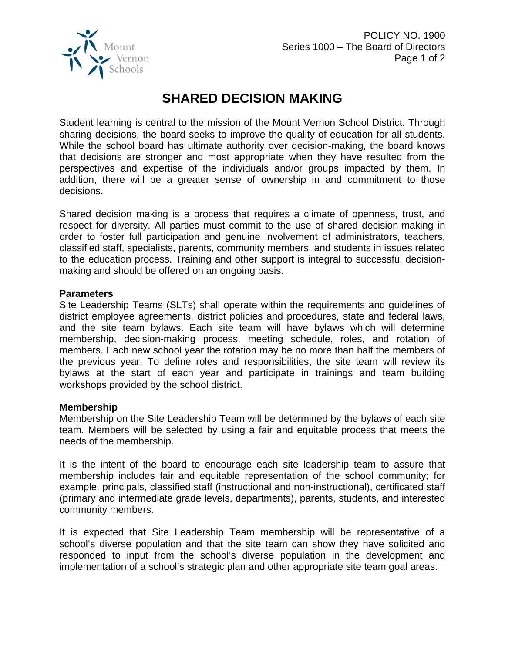

## **SHARED DECISION MAKING**

Student learning is central to the mission of the Mount Vernon School District. Through sharing decisions, the board seeks to improve the quality of education for all students. While the school board has ultimate authority over decision-making, the board knows that decisions are stronger and most appropriate when they have resulted from the perspectives and expertise of the individuals and/or groups impacted by them. In addition, there will be a greater sense of ownership in and commitment to those decisions.

Shared decision making is a process that requires a climate of openness, trust, and respect for diversity. All parties must commit to the use of shared decision-making in order to foster full participation and genuine involvement of administrators, teachers, classified staff, specialists, parents, community members, and students in issues related to the education process. Training and other support is integral to successful decisionmaking and should be offered on an ongoing basis.

## **Parameters**

Site Leadership Teams (SLTs) shall operate within the requirements and guidelines of district employee agreements, district policies and procedures, state and federal laws, and the site team bylaws. Each site team will have bylaws which will determine membership, decision-making process, meeting schedule, roles, and rotation of members. Each new school year the rotation may be no more than half the members of the previous year. To define roles and responsibilities, the site team will review its bylaws at the start of each year and participate in trainings and team building workshops provided by the school district.

## **Membership**

Membership on the Site Leadership Team will be determined by the bylaws of each site team. Members will be selected by using a fair and equitable process that meets the needs of the membership.

It is the intent of the board to encourage each site leadership team to assure that membership includes fair and equitable representation of the school community; for example, principals, classified staff (instructional and non-instructional), certificated staff (primary and intermediate grade levels, departments), parents, students, and interested community members.

It is expected that Site Leadership Team membership will be representative of a school's diverse population and that the site team can show they have solicited and responded to input from the school's diverse population in the development and implementation of a school's strategic plan and other appropriate site team goal areas.